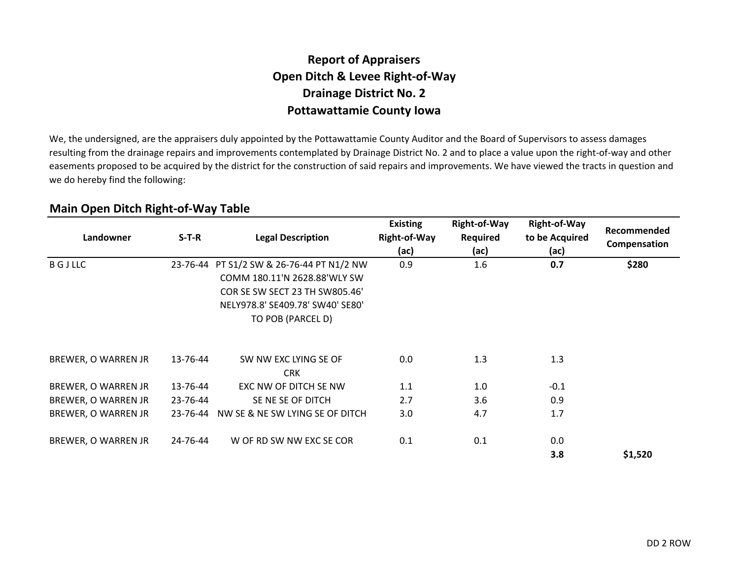### **Report of AppraisersOpen Ditch & Levee Right-of-WayDrainage District No. 2Pottawattamie County Iowa**

We, the undersigned, are the appraisers duly appointed by the Pottawattamie County Auditor and the Board of Supervisors to assess damages resulting from the drainage repairs and improvements contemplated by Drainage District No. 2 and to place a value upon the right-of-way and other easements proposed to be acquired by the district for the construction of said repairs and improvements. We have viewed the tracts in question and we do hereby find the following:

| Landowner           | $S-T-R$  | <b>Legal Description</b>                                                                                                                                                    | <b>Existing</b><br>Right-of-Way<br>(ac) | Right-of-Way<br><b>Required</b><br>(ac) | <b>Right-of-Way</b><br>to be Acquired<br>(ac) | Recommended<br>Compensation |
|---------------------|----------|-----------------------------------------------------------------------------------------------------------------------------------------------------------------------------|-----------------------------------------|-----------------------------------------|-----------------------------------------------|-----------------------------|
| <b>BGJLLC</b>       |          | 23-76-44 PT S1/2 SW & 26-76-44 PT N1/2 NW<br>COMM 180.11'N 2628.88'WLY SW<br><b>COR SE SW SECT 23 TH SW805.46'</b><br>NELY978.8' SE409.78' SW40' SE80'<br>TO POB (PARCEL D) | 0.9                                     | 1.6                                     | 0.7                                           | \$280                       |
| BREWER, O WARREN JR | 13-76-44 | SW NW EXC LYING SE OF<br><b>CRK</b>                                                                                                                                         | 0.0                                     | 1.3                                     | 1.3                                           |                             |
| BREWER, O WARREN JR | 13-76-44 | EXC NW OF DITCH SE NW                                                                                                                                                       | 1.1                                     | 1.0                                     | $-0.1$                                        |                             |
| BREWER, O WARREN JR | 23-76-44 | SE NE SE OF DITCH                                                                                                                                                           | 2.7                                     | 3.6                                     | 0.9                                           |                             |
| BREWER, O WARREN JR | 23-76-44 | NW SE & NE SW LYING SE OF DITCH                                                                                                                                             | 3.0                                     | 4.7                                     | 1.7                                           |                             |
| BREWER, O WARREN JR | 24-76-44 | W OF RD SW NW EXC SE COR                                                                                                                                                    | 0.1                                     | 0.1                                     | 0.0<br>3.8                                    | \$1,520                     |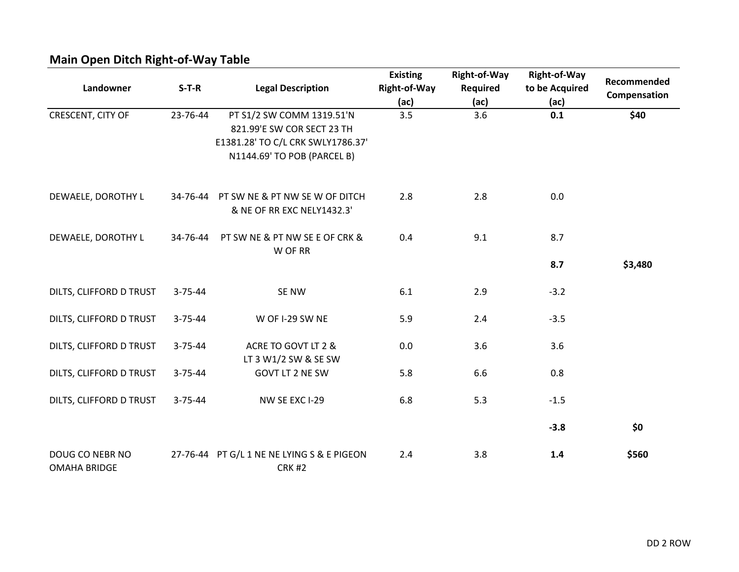| ັ<br>Landowner                         | $S-T-R$       | <b>Legal Description</b>                                                                                                    | <b>Existing</b><br>Right-of-Way<br>(ac) | <b>Right-of-Way</b><br><b>Required</b><br>(ac) | <b>Right-of-Way</b><br>to be Acquired<br>(ac) | Recommended<br>Compensation |
|----------------------------------------|---------------|-----------------------------------------------------------------------------------------------------------------------------|-----------------------------------------|------------------------------------------------|-----------------------------------------------|-----------------------------|
| CRESCENT, CITY OF                      | 23-76-44      | PT S1/2 SW COMM 1319.51'N<br>821.99'E SW COR SECT 23 TH<br>E1381.28' TO C/L CRK SWLY1786.37'<br>N1144.69' TO POB (PARCEL B) | 3.5                                     | 3.6                                            | 0.1                                           | \$40                        |
| DEWAELE, DOROTHY L                     | 34-76-44      | PT SW NE & PT NW SE W OF DITCH<br>& NE OF RR EXC NELY1432.3'                                                                | 2.8                                     | 2.8                                            | 0.0                                           |                             |
| DEWAELE, DOROTHY L                     | 34-76-44      | PT SW NE & PT NW SE E OF CRK &<br>W OF RR                                                                                   | 0.4                                     | 9.1                                            | 8.7                                           |                             |
|                                        |               |                                                                                                                             |                                         |                                                | 8.7                                           | \$3,480                     |
| DILTS, CLIFFORD D TRUST                | 3-75-44       | SE NW                                                                                                                       | 6.1                                     | 2.9                                            | $-3.2$                                        |                             |
| DILTS, CLIFFORD D TRUST                | $3 - 75 - 44$ | W OF I-29 SW NE                                                                                                             | 5.9                                     | 2.4                                            | $-3.5$                                        |                             |
| DILTS, CLIFFORD D TRUST                | $3 - 75 - 44$ | ACRE TO GOVT LT 2 &<br>LT 3 W1/2 SW & SE SW                                                                                 | 0.0                                     | 3.6                                            | 3.6                                           |                             |
| DILTS, CLIFFORD D TRUST                | $3 - 75 - 44$ | GOVT LT 2 NE SW                                                                                                             | 5.8                                     | 6.6                                            | 0.8                                           |                             |
| DILTS, CLIFFORD D TRUST                | $3 - 75 - 44$ | NW SE EXC I-29                                                                                                              | 6.8                                     | 5.3                                            | $-1.5$                                        |                             |
|                                        |               |                                                                                                                             |                                         |                                                | $-3.8$                                        | \$0                         |
| DOUG CO NEBR NO<br><b>OMAHA BRIDGE</b> | 27-76-44      | PT G/L 1 NE NE LYING S & E PIGEON<br><b>CRK #2</b>                                                                          | 2.4                                     | 3.8                                            | 1.4                                           | \$560                       |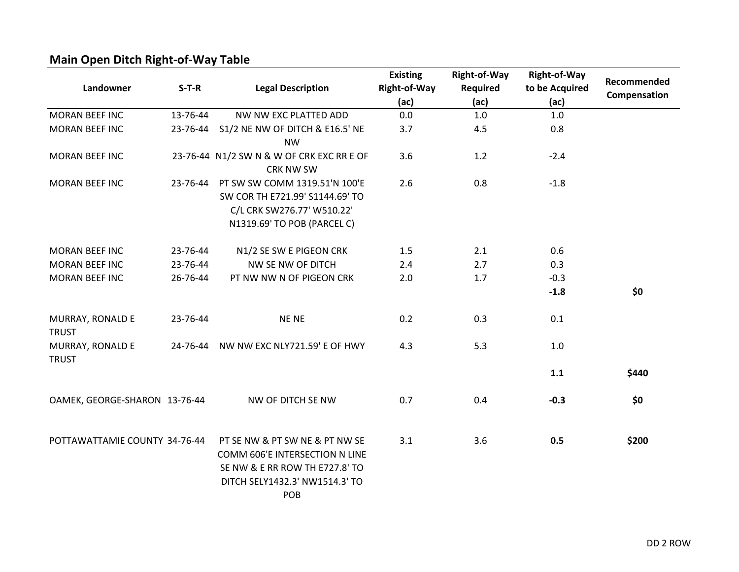|                                  |          |                                           | <b>Existing</b>     | <b>Right-of-Way</b> | Right-of-Way   |              |
|----------------------------------|----------|-------------------------------------------|---------------------|---------------------|----------------|--------------|
| Landowner                        | $S-T-R$  | <b>Legal Description</b>                  | <b>Right-of-Way</b> | Required            | to be Acquired | Recommended  |
|                                  |          |                                           | (ac)                | (ac)                | (ac)           | Compensation |
| <b>MORAN BEEF INC</b>            | 13-76-44 | NW NW EXC PLATTED ADD                     | 0.0                 | 1.0                 | 1.0            |              |
| <b>MORAN BEEF INC</b>            |          | 23-76-44 S1/2 NE NW OF DITCH & E16.5' NE  | 3.7                 | 4.5                 | 0.8            |              |
|                                  |          | <b>NW</b>                                 |                     |                     |                |              |
| <b>MORAN BEEF INC</b>            |          | 23-76-44 N1/2 SW N & W OF CRK EXC RR E OF | 3.6                 | 1.2                 | $-2.4$         |              |
|                                  |          | <b>CRK NW SW</b>                          |                     |                     |                |              |
| <b>MORAN BEEF INC</b>            | 23-76-44 | PT SW SW COMM 1319.51'N 100'E             | 2.6                 | 0.8                 | $-1.8$         |              |
|                                  |          | SW COR TH E721.99' S1144.69' TO           |                     |                     |                |              |
|                                  |          | C/L CRK SW276.77' W510.22'                |                     |                     |                |              |
|                                  |          | N1319.69' TO POB (PARCEL C)               |                     |                     |                |              |
| <b>MORAN BEEF INC</b>            | 23-76-44 | N1/2 SE SW E PIGEON CRK                   | 1.5                 | 2.1                 | 0.6            |              |
| <b>MORAN BEEF INC</b>            | 23-76-44 | NW SE NW OF DITCH                         | 2.4                 | 2.7                 | 0.3            |              |
| <b>MORAN BEEF INC</b>            | 26-76-44 | PT NW NW N OF PIGEON CRK                  | 2.0                 | 1.7                 | $-0.3$         |              |
|                                  |          |                                           |                     |                     | $-1.8$         | \$0          |
| MURRAY, RONALD E                 | 23-76-44 | <b>NENE</b>                               | 0.2                 | 0.3                 | 0.1            |              |
| <b>TRUST</b>                     |          |                                           |                     |                     |                |              |
| MURRAY, RONALD E<br><b>TRUST</b> | 24-76-44 | NW NW EXC NLY721.59' E OF HWY             | 4.3                 | 5.3                 | 1.0            |              |
|                                  |          |                                           |                     |                     | 1.1            | \$440        |
| OAMEK, GEORGE-SHARON 13-76-44    |          | NW OF DITCH SE NW                         | 0.7                 | 0.4                 | $-0.3$         | \$0          |
|                                  |          |                                           |                     |                     |                |              |
| POTTAWATTAMIE COUNTY 34-76-44    |          | PT SE NW & PT SW NE & PT NW SE            | 3.1                 | 3.6                 | 0.5            | \$200        |
|                                  |          | COMM 606'E INTERSECTION N LINE            |                     |                     |                |              |
|                                  |          | SE NW & E RR ROW TH E727.8' TO            |                     |                     |                |              |
|                                  |          | DITCH SELY1432.3' NW1514.3' TO            |                     |                     |                |              |
|                                  |          | POB                                       |                     |                     |                |              |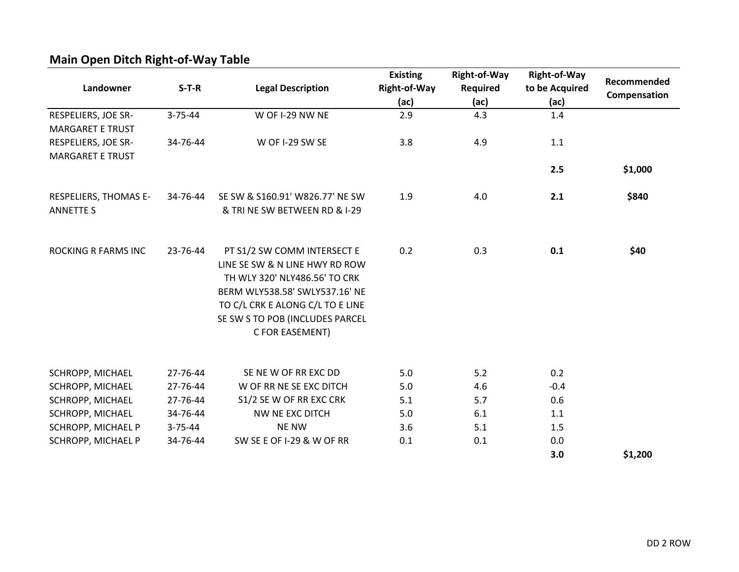| Landowner                  | $S-T-R$       | <b>Legal Description</b>         | <b>Existing</b><br>Right-of-Way<br>(ac) | Right-of-Way<br><b>Required</b><br>(ac) | Right-of-Way<br>to be Acquired<br>(ac) | Recommended<br>Compensation |
|----------------------------|---------------|----------------------------------|-----------------------------------------|-----------------------------------------|----------------------------------------|-----------------------------|
| RESPELIERS, JOE SR-        | $3 - 75 - 44$ | W OF I-29 NW NE                  | 2.9                                     | 4.3                                     | 1.4                                    |                             |
| <b>MARGARET E TRUST</b>    |               |                                  |                                         |                                         |                                        |                             |
| RESPELIERS, JOE SR-        | 34-76-44      | W OF I-29 SW SE                  | 3.8                                     | 4.9                                     | 1.1                                    |                             |
| <b>MARGARET E TRUST</b>    |               |                                  |                                         |                                         |                                        |                             |
|                            |               |                                  |                                         |                                         | 2.5                                    | \$1,000                     |
| RESPELIERS, THOMAS E-      | 34-76-44      | SE SW & S160.91' W826.77' NE SW  | 1.9                                     | 4.0                                     | 2.1                                    | \$840                       |
| <b>ANNETTE S</b>           |               | & TRI NE SW BETWEEN RD & I-29    |                                         |                                         |                                        |                             |
| <b>ROCKING R FARMS INC</b> | 23-76-44      | PT S1/2 SW COMM INTERSECT E      | 0.2                                     | 0.3                                     | 0.1                                    | \$40                        |
|                            |               | LINE SE SW & N LINE HWY RD ROW   |                                         |                                         |                                        |                             |
|                            |               | TH WLY 320' NLY486.56' TO CRK    |                                         |                                         |                                        |                             |
|                            |               | BERM WLY538.58' SWLY537.16' NE   |                                         |                                         |                                        |                             |
|                            |               | TO C/L CRK E ALONG C/L TO E LINE |                                         |                                         |                                        |                             |
|                            |               | SE SW S TO POB (INCLUDES PARCEL  |                                         |                                         |                                        |                             |
|                            |               | C FOR EASEMENT)                  |                                         |                                         |                                        |                             |
| SCHROPP, MICHAEL           | 27-76-44      | SE NEW OF RREXC DD               | 5.0                                     | 5.2                                     | 0.2                                    |                             |
| SCHROPP, MICHAEL           | 27-76-44      | W OF RR NE SE EXC DITCH          | 5.0                                     | 4.6                                     | $-0.4$                                 |                             |
| SCHROPP, MICHAEL           | 27-76-44      | S1/2 SE W OF RR EXC CRK          | 5.1                                     | 5.7                                     | 0.6                                    |                             |
| SCHROPP, MICHAEL           | 34-76-44      | NW NE EXC DITCH                  | 5.0                                     | 6.1                                     | 1.1                                    |                             |
| SCHROPP, MICHAEL P         | $3 - 75 - 44$ | <b>NE NW</b>                     | 3.6                                     | 5.1                                     | 1.5                                    |                             |
| SCHROPP, MICHAEL P         | 34-76-44      | SW SE E OF I-29 & W OF RR        | 0.1                                     | 0.1                                     | 0.0                                    |                             |
|                            |               |                                  |                                         |                                         | 3.0                                    | \$1,200                     |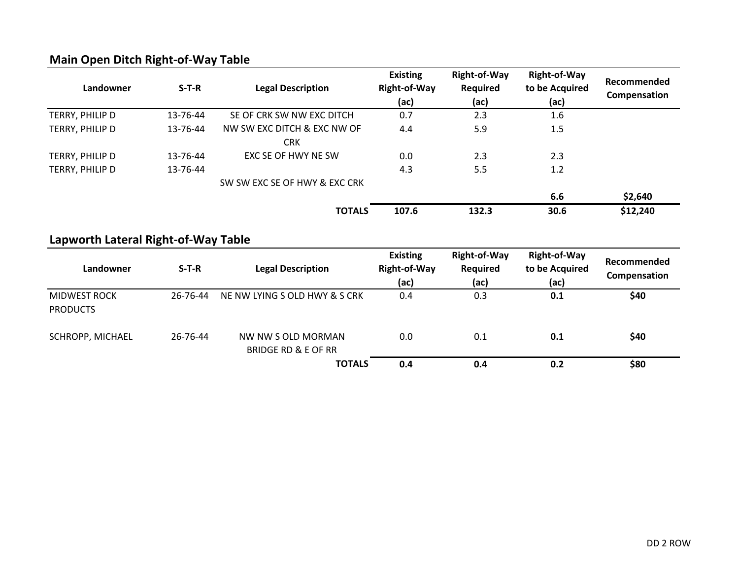| Landowner       | $S-T-R$  | <b>Legal Description</b>      | <b>Existing</b><br><b>Right-of-Way</b><br>(ac) | <b>Right-of-Way</b><br>Required<br>(ac) | <b>Right-of-Way</b><br>to be Acquired<br>(ac) | Recommended<br>Compensation |
|-----------------|----------|-------------------------------|------------------------------------------------|-----------------------------------------|-----------------------------------------------|-----------------------------|
| TERRY, PHILIP D | 13-76-44 | SE OF CRK SW NW EXC DITCH     | 0.7                                            | 2.3                                     | $1.6\,$                                       |                             |
| TERRY, PHILIP D | 13-76-44 | NW SW EXC DITCH & EXC NW OF   | 4.4                                            | 5.9                                     | 1.5                                           |                             |
|                 |          | <b>CRK</b>                    |                                                |                                         |                                               |                             |
| TERRY, PHILIP D | 13-76-44 | EXC SE OF HWY NE SW           | 0.0                                            | 2.3                                     | 2.3                                           |                             |
| TERRY, PHILIP D | 13-76-44 |                               | 4.3                                            | 5.5                                     | 1.2                                           |                             |
|                 |          | SW SW EXC SE OF HWY & EXC CRK |                                                |                                         |                                               |                             |
|                 |          |                               |                                                |                                         | 6.6                                           | \$2,640                     |
|                 |          | <b>TOTALS</b>                 | 107.6                                          | 132.3                                   | 30.6                                          | \$12,240                    |
|                 |          |                               |                                                |                                         |                                               |                             |

#### **Lapworth Lateral Right-of-Way Table**

| Landowner                              | $S-T-R$  | <b>Legal Description</b>                             | <b>Existing</b><br><b>Right-of-Way</b><br>(ac) | <b>Right-of-Way</b><br>Required<br>(ac) | <b>Right-of-Way</b><br>to be Acquired<br>(ac) | Recommended<br>Compensation |
|----------------------------------------|----------|------------------------------------------------------|------------------------------------------------|-----------------------------------------|-----------------------------------------------|-----------------------------|
| <b>MIDWEST ROCK</b><br><b>PRODUCTS</b> | 26-76-44 | NE NW LYING S OLD HWY & S CRK                        | 0.4                                            | 0.3                                     | 0.1                                           | \$40                        |
| SCHROPP, MICHAEL                       | 26-76-44 | NW NW S OLD MORMAN<br><b>BRIDGE RD &amp; E OF RR</b> | 0.0                                            | 0.1                                     | 0.1                                           | \$40                        |
|                                        |          | <b>TOTALS</b>                                        | 0.4                                            | 0.4                                     | 0.2                                           | \$80                        |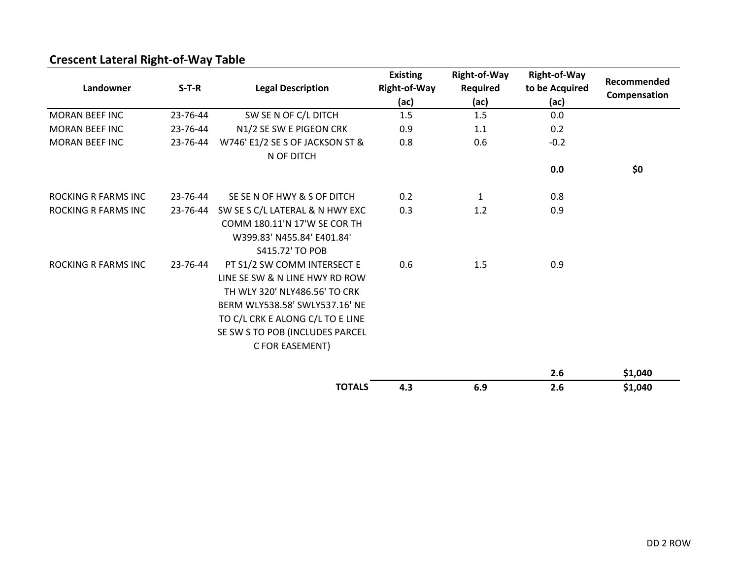| Landowner                  | $S-T-R$  | <b>Legal Description</b>                                                                                                                                                                                                   | <b>Existing</b><br><b>Right-of-Way</b><br>(ac) | <b>Right-of-Way</b><br>Required<br>(ac) | <b>Right-of-Way</b><br>to be Acquired<br>(ac) | Recommended<br>Compensation |
|----------------------------|----------|----------------------------------------------------------------------------------------------------------------------------------------------------------------------------------------------------------------------------|------------------------------------------------|-----------------------------------------|-----------------------------------------------|-----------------------------|
| <b>MORAN BEEF INC</b>      | 23-76-44 | SW SE N OF C/L DITCH                                                                                                                                                                                                       | 1.5                                            | 1.5                                     | 0.0                                           |                             |
| <b>MORAN BEEF INC</b>      | 23-76-44 | N1/2 SE SW E PIGEON CRK                                                                                                                                                                                                    | 0.9                                            | 1.1                                     | 0.2                                           |                             |
| <b>MORAN BEEF INC</b>      | 23-76-44 | W746' E1/2 SE S OF JACKSON ST &<br>N OF DITCH                                                                                                                                                                              | 0.8                                            | 0.6                                     | $-0.2$                                        |                             |
|                            |          |                                                                                                                                                                                                                            |                                                |                                         | 0.0                                           | \$0                         |
| <b>ROCKING R FARMS INC</b> | 23-76-44 | SE SE N OF HWY & S OF DITCH                                                                                                                                                                                                | 0.2                                            | $\mathbf{1}$                            | 0.8                                           |                             |
| <b>ROCKING R FARMS INC</b> | 23-76-44 | SW SE S C/L LATERAL & N HWY EXC<br>COMM 180.11'N 17'W SE COR TH<br>W399.83' N455.84' E401.84'<br>S415.72' TO POB                                                                                                           | 0.3                                            | 1.2                                     | 0.9                                           |                             |
| <b>ROCKING R FARMS INC</b> | 23-76-44 | PT S1/2 SW COMM INTERSECT E<br>LINE SE SW & N LINE HWY RD ROW<br>TH WLY 320' NLY486.56' TO CRK<br>BERM WLY538.58' SWLY537.16' NE<br>TO C/L CRK E ALONG C/L TO E LINE<br>SE SW S TO POB (INCLUDES PARCEL<br>C FOR EASEMENT) | 0.6                                            | 1.5                                     | 0.9                                           |                             |
|                            |          |                                                                                                                                                                                                                            |                                                |                                         | 2.6                                           | \$1,040                     |
|                            |          | <b>TOTALS</b>                                                                                                                                                                                                              | 4.3                                            | 6.9                                     | 2.6                                           | \$1,040                     |

## **Crescent Lateral Right-of-Way Table**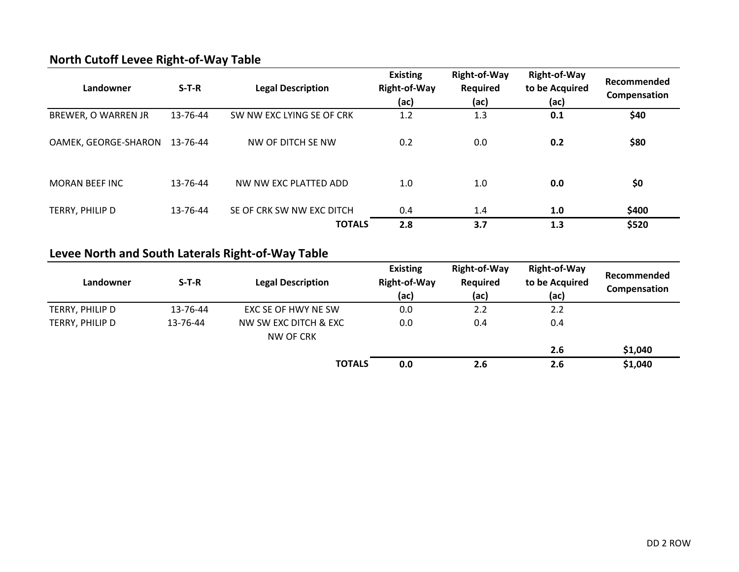|  |  |  | <b>North Cutoff Levee Right-of-Way Table</b> |  |  |
|--|--|--|----------------------------------------------|--|--|
|--|--|--|----------------------------------------------|--|--|

| Landowner             | $S-T-R$  | <b>Legal Description</b>  | <b>Existing</b><br><b>Right-of-Way</b><br>(ac) | <b>Right-of-Way</b><br><b>Required</b><br>(ac) | <b>Right-of-Way</b><br>to be Acquired<br>(ac) | Recommended<br>Compensation |
|-----------------------|----------|---------------------------|------------------------------------------------|------------------------------------------------|-----------------------------------------------|-----------------------------|
| BREWER, O WARREN JR   | 13-76-44 | SW NW EXC LYING SE OF CRK | 1.2                                            | 1.3                                            | 0.1                                           | \$40                        |
| OAMEK, GEORGE-SHARON  | 13-76-44 | NW OF DITCH SE NW         | 0.2                                            | 0.0                                            | 0.2                                           | \$80                        |
| <b>MORAN BEEF INC</b> | 13-76-44 | NW NW FXC PLATTED ADD     | 1.0                                            | 1.0                                            | 0.0                                           | \$0                         |
| TERRY, PHILIP D       | 13-76-44 | SE OF CRK SW NW EXC DITCH | 0.4                                            | 1.4                                            | 1.0                                           | \$400                       |
|                       |          | <b>TOTALS</b>             | 2.8                                            | 3.7                                            | 1.3                                           | \$520                       |

# **Levee North and South Laterals Right-of-Way Table**

| Landowner       | $S-T-R$  | <b>Legal Description</b>           | <b>Existing</b><br><b>Right-of-Way</b><br>(ac) | <b>Right-of-Way</b><br><b>Required</b><br>(ac) | <b>Right-of-Way</b><br>to be Acquired<br>(ac) | Recommended<br>Compensation |
|-----------------|----------|------------------------------------|------------------------------------------------|------------------------------------------------|-----------------------------------------------|-----------------------------|
| TERRY, PHILIP D | 13-76-44 | EXC SE OF HWY NE SW                | 0.0                                            | 2.2                                            | 2.2                                           |                             |
| TERRY, PHILIP D | 13-76-44 | NW SW EXC DITCH & EXC<br>NW OF CRK | 0.0                                            | 0.4                                            | 0.4                                           |                             |
|                 |          |                                    |                                                |                                                | 2.6                                           | \$1,040                     |
|                 |          | <b>TOTALS</b>                      | 0.0                                            | 2.6                                            | 2.6                                           | \$1,040                     |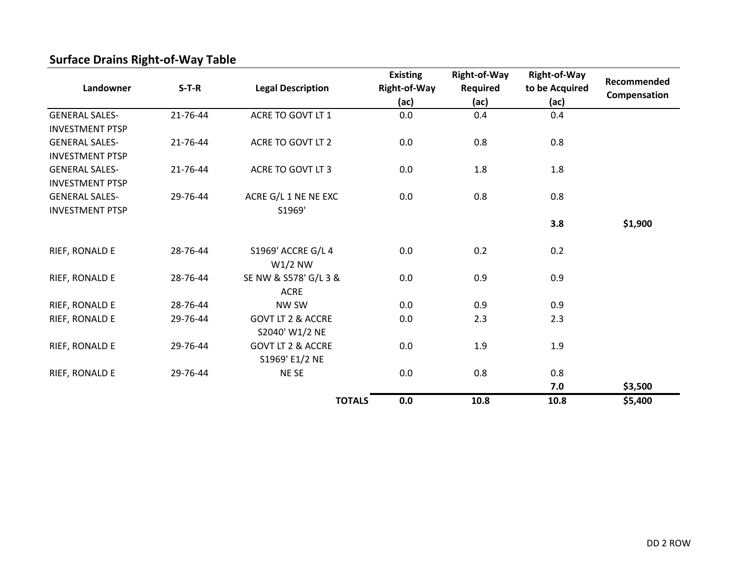| Landowner              | $S-T-R$  | <b>Legal Description</b>        | <b>Existing</b><br><b>Right-of-Way</b> | <b>Right-of-Way</b><br><b>Required</b> | <b>Right-of-Way</b><br>to be Acquired | Recommended  |
|------------------------|----------|---------------------------------|----------------------------------------|----------------------------------------|---------------------------------------|--------------|
|                        |          |                                 | (ac)                                   | (ac)                                   | (ac)                                  | Compensation |
| <b>GENERAL SALES-</b>  | 21-76-44 | ACRE TO GOVT LT 1               | 0.0                                    | 0.4                                    | 0.4                                   |              |
| <b>INVESTMENT PTSP</b> |          |                                 |                                        |                                        |                                       |              |
| <b>GENERAL SALES-</b>  | 21-76-44 | ACRE TO GOVT LT 2               | 0.0                                    | 0.8                                    | 0.8                                   |              |
| <b>INVESTMENT PTSP</b> |          |                                 |                                        |                                        |                                       |              |
| <b>GENERAL SALES-</b>  | 21-76-44 | ACRE TO GOVT LT 3               | 0.0                                    | 1.8                                    | 1.8                                   |              |
| <b>INVESTMENT PTSP</b> |          |                                 |                                        |                                        |                                       |              |
| <b>GENERAL SALES-</b>  | 29-76-44 | ACRE G/L 1 NE NE EXC            | 0.0                                    | 0.8                                    | 0.8                                   |              |
| <b>INVESTMENT PTSP</b> |          | S1969'                          |                                        |                                        |                                       |              |
|                        |          |                                 |                                        |                                        | 3.8                                   | \$1,900      |
| RIEF, RONALD E         | 28-76-44 | S1969' ACCRE G/L 4<br>$W1/2$ NW | 0.0                                    | 0.2                                    | 0.2                                   |              |
| RIEF, RONALD E         | 28-76-44 | SE NW & S578' G/L 3 &           | 0.0                                    | 0.9                                    | 0.9                                   |              |
|                        |          | <b>ACRE</b>                     |                                        |                                        |                                       |              |
| RIEF, RONALD E         | 28-76-44 | NW SW                           | 0.0                                    | 0.9                                    | 0.9                                   |              |
| RIEF, RONALD E         | 29-76-44 | <b>GOVT LT 2 &amp; ACCRE</b>    | 0.0                                    | 2.3                                    | 2.3                                   |              |
|                        |          | S2040' W1/2 NE                  |                                        |                                        |                                       |              |
| RIEF, RONALD E         | 29-76-44 | <b>GOVT LT 2 &amp; ACCRE</b>    | 0.0                                    | 1.9                                    | 1.9                                   |              |
|                        |          | S1969' E1/2 NE                  |                                        |                                        |                                       |              |
| RIEF, RONALD E         | 29-76-44 | NE SE                           | 0.0                                    | 0.8                                    | 0.8                                   |              |
|                        |          |                                 |                                        |                                        | 7.0                                   | \$3,500      |
|                        |          | <b>TOTALS</b>                   | 0.0                                    | 10.8                                   | 10.8                                  | \$5,400      |

## **Surface Drains Right-of-Way Table**